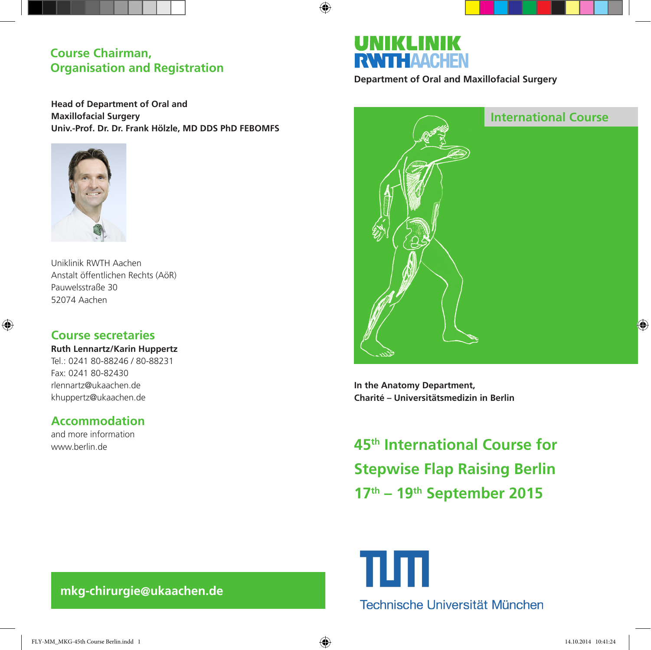## **Course Chairman, Organisation and Registration**

**Head of Department of Oral and Maxillofacial Surgery Univ.-Prof. Dr. Dr. Frank Hölzle, MD DDS PhD FEBOMFS**



Uniklinik RWTH Aachen Anstalt öffentlichen Rechts (AöR) Pauwelsstraße 30 52074 Aachen

## **Course secretaries**

⊕

**Ruth Lennartz/Karin Huppertz** Tel.: 0241 80-88246 / 80-88231 Fax: 0241 80-82430 rlennartz@ukaachen.de khuppertz@ukaachen.de

## **Accommodation**

and more information www.berlin.de

# UNIKLIN **RWITHAACHEN**

 $\bigoplus$ 

**Department of Oral and Maxillofacial Surgery**



**In the Anatomy Department, Charité – Universitätsmedizin in Berlin**

**45th International Course for Stepwise Flap Raising Berlin 17th – 19th September 2015**

ш Technische Universität München

## **mkg-chirurgie@ukaachen.de**